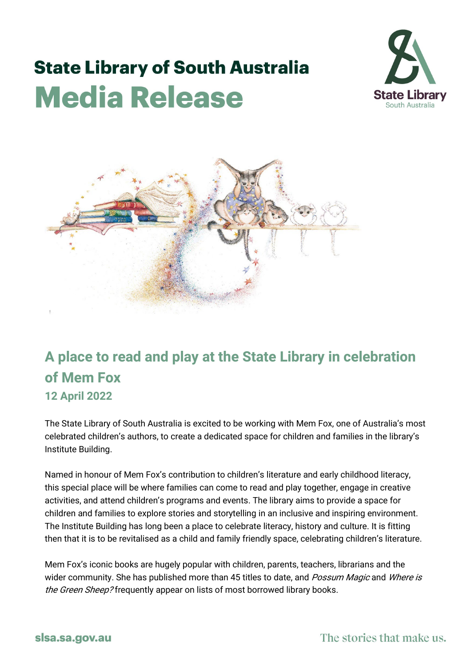## **State Library of South Australia Media Release**





## **A place to read and play at the State Library in celebration of Mem Fox 12 April 2022**

The State Library of South Australia is excited to be working with Mem Fox, one of Australia's most celebrated children's authors, to create a dedicated space for children and families in the library's Institute Building.

Named in honour of Mem Fox's contribution to children's literature and early childhood literacy, this special place will be where families can come to read and play together, engage in creative activities, and attend children's programs and events. The library aims to provide a space for children and families to explore stories and storytelling in an inclusive and inspiring environment. The Institute Building has long been a place to celebrate literacy, history and culture. It is fitting then that it is to be revitalised as a child and family friendly space, celebrating children's literature.

Mem Fox's iconic books are hugely popular with children, parents, teachers, librarians and the wider community. She has published more than 45 titles to date, and *Possum Magic* and *Where is* the Green Sheep? frequently appear on lists of most borrowed library books.